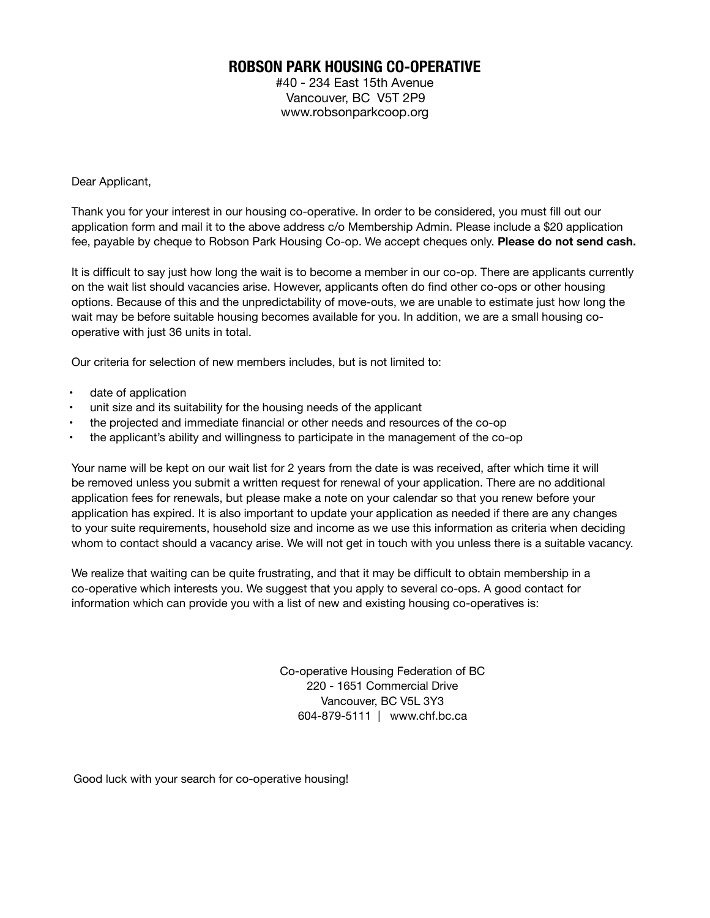## **ROBSON PARK HOUSING CO-OPERATIVE**

#40 - 234 East 15th Avenue Vancouver, BC V5T 2P9 www.robsonparkcoop.org

Dear Applicant,

Thank you for your interest in our housing co-operative. In order to be considered, you must fill out our application form and mail it to the above address c/o Membership Admin. Please include a \$20 application fee, payable by cheque to Robson Park Housing Co-op. We accept cheques only. **Please do not send cash.**

It is difficult to say just how long the wait is to become a member in our co-op. There are applicants currently on the wait list should vacancies arise. However, applicants often do find other co-ops or other housing options. Because of this and the unpredictability of move-outs, we are unable to estimate just how long the wait may be before suitable housing becomes available for you. In addition, we are a small housing cooperative with just 36 units in total.

Our criteria for selection of new members includes, but is not limited to:

- date of application
- unit size and its suitability for the housing needs of the applicant
- the projected and immediate financial or other needs and resources of the co-op
- the applicant's ability and willingness to participate in the management of the co-op

Your name will be kept on our wait list for 2 years from the date is was received, after which time it will be removed unless you submit a written request for renewal of your application. There are no additional application fees for renewals, but please make a note on your calendar so that you renew before your application has expired. It is also important to update your application as needed if there are any changes to your suite requirements, household size and income as we use this information as criteria when deciding whom to contact should a vacancy arise. We will not get in touch with you unless there is a suitable vacancy.

We realize that waiting can be quite frustrating, and that it may be difficult to obtain membership in a co-operative which interests you. We suggest that you apply to several co-ops. A good contact for information which can provide you with a list of new and existing housing co-operatives is:

> Co-operative Housing Federation of BC 220 - 1651 Commercial Drive Vancouver, BC V5L 3Y3 604-879-5111 | www.chf.bc.ca

Good luck with your search for co-operative housing!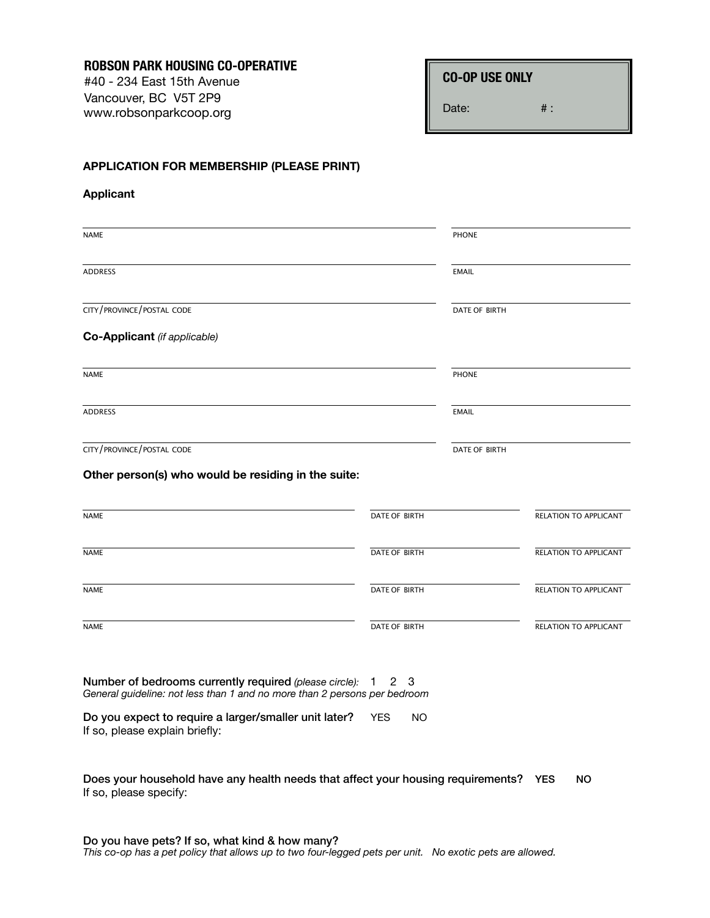**ROBSON PARK HOUSING CO-OPERATIVE**

#40 - 234 East 15th Avenue Vancouver, BC V5T 2P9 www.robsonparkcoop.org Date: # :

## **APPLICATION FOR MEMBERSHIP (PLEASE PRINT)**

| <b>NAME</b>                                                                                      | <b>PHONE</b>         |                       |
|--------------------------------------------------------------------------------------------------|----------------------|-----------------------|
|                                                                                                  |                      |                       |
| <b>ADDRESS</b>                                                                                   | <b>EMAIL</b>         |                       |
| CITY/PROVINCE/POSTAL CODE                                                                        | DATE OF BIRTH        |                       |
| Co-Applicant (if applicable)                                                                     |                      |                       |
| <b>NAME</b>                                                                                      | <b>PHONE</b>         |                       |
|                                                                                                  |                      |                       |
|                                                                                                  | <b>EMAIL</b>         |                       |
| <b>ADDRESS</b><br>CITY/PROVINCE/POSTAL CODE                                                      | DATE OF BIRTH        |                       |
|                                                                                                  | DATE OF BIRTH        | RELATION TO APPLICANT |
|                                                                                                  | <b>DATE OF BIRTH</b> | RELATION TO APPLICANT |
| Other person(s) who would be residing in the suite:<br><b>NAME</b><br><b>NAME</b><br><b>NAME</b> | DATE OF BIRTH        | RELATION TO APPLICANT |

*General guideline: not less than 1 and no more than 2 persons per bedroom*

Do you expect to require a larger/smaller unit later? YES NO If so, please explain briefly:

Does your household have any health needs that affect your housing requirements? YES NO If so, please specify: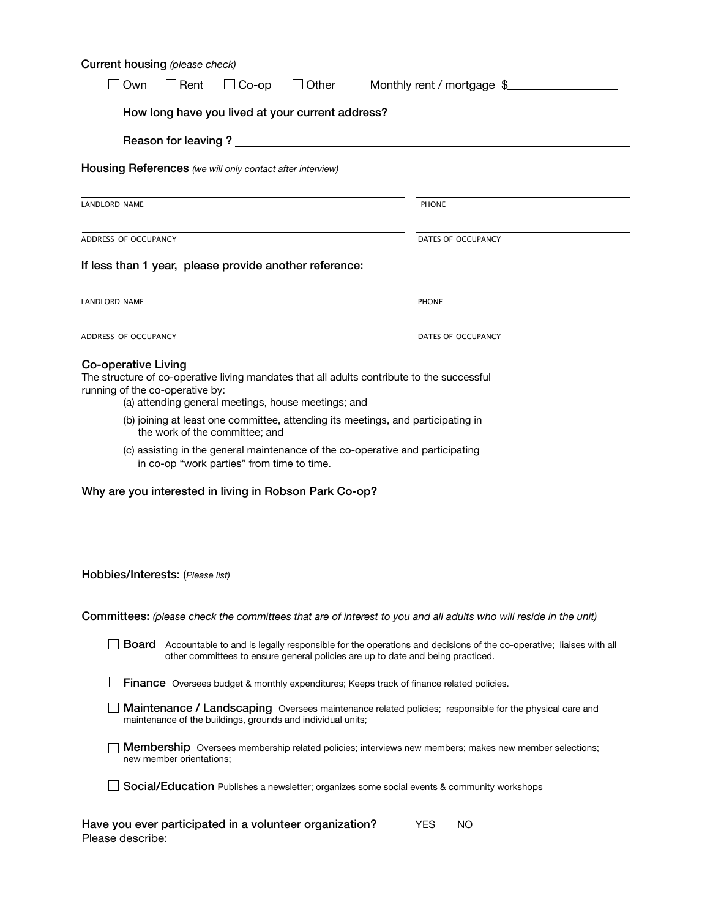| Current housing (please check)                                                                                                                                                                                                                                                                                                                                                                                                                                                                                                     |                    |  |  |  |
|------------------------------------------------------------------------------------------------------------------------------------------------------------------------------------------------------------------------------------------------------------------------------------------------------------------------------------------------------------------------------------------------------------------------------------------------------------------------------------------------------------------------------------|--------------------|--|--|--|
| Own<br>$\Box$ Rent<br>$\Box$ Co-op<br>$\Box$ Other<br>Monthly rent / mortgage \$                                                                                                                                                                                                                                                                                                                                                                                                                                                   |                    |  |  |  |
| How long have you lived at your current address? _______________________________                                                                                                                                                                                                                                                                                                                                                                                                                                                   |                    |  |  |  |
|                                                                                                                                                                                                                                                                                                                                                                                                                                                                                                                                    |                    |  |  |  |
| Housing References (we will only contact after interview)                                                                                                                                                                                                                                                                                                                                                                                                                                                                          |                    |  |  |  |
| <b>LANDLORD NAME</b>                                                                                                                                                                                                                                                                                                                                                                                                                                                                                                               | <b>PHONE</b>       |  |  |  |
| ADDRESS OF OCCUPANCY                                                                                                                                                                                                                                                                                                                                                                                                                                                                                                               | DATES OF OCCUPANCY |  |  |  |
| If less than 1 year, please provide another reference:                                                                                                                                                                                                                                                                                                                                                                                                                                                                             |                    |  |  |  |
| LANDLORD NAME                                                                                                                                                                                                                                                                                                                                                                                                                                                                                                                      | <b>PHONE</b>       |  |  |  |
| ADDRESS OF OCCUPANCY                                                                                                                                                                                                                                                                                                                                                                                                                                                                                                               | DATES OF OCCUPANCY |  |  |  |
| <b>Co-operative Living</b><br>The structure of co-operative living mandates that all adults contribute to the successful<br>running of the co-operative by:<br>(a) attending general meetings, house meetings; and<br>(b) joining at least one committee, attending its meetings, and participating in<br>the work of the committee; and<br>(c) assisting in the general maintenance of the co-operative and participating<br>in co-op "work parties" from time to time.<br>Why are you interested in living in Robson Park Co-op? |                    |  |  |  |
| Hobbies/Interests: (Please list)                                                                                                                                                                                                                                                                                                                                                                                                                                                                                                   |                    |  |  |  |
| Committees: (please check the committees that are of interest to you and all adults who will reside in the unit)                                                                                                                                                                                                                                                                                                                                                                                                                   |                    |  |  |  |
| Board Accountable to and is legally responsible for the operations and decisions of the co-operative; liaises with all<br>other committees to ensure general policies are up to date and being practiced.                                                                                                                                                                                                                                                                                                                          |                    |  |  |  |
| Finance Oversees budget & monthly expenditures; Keeps track of finance related policies.                                                                                                                                                                                                                                                                                                                                                                                                                                           |                    |  |  |  |
| Maintenance / Landscaping Oversees maintenance related policies; responsible for the physical care and<br>maintenance of the buildings, grounds and individual units;                                                                                                                                                                                                                                                                                                                                                              |                    |  |  |  |
| <b>Membership</b> Oversees membership related policies; interviews new members; makes new member selections;<br>new member orientations;                                                                                                                                                                                                                                                                                                                                                                                           |                    |  |  |  |
| Social/Education Publishes a newsletter; organizes some social events & community workshops                                                                                                                                                                                                                                                                                                                                                                                                                                        |                    |  |  |  |

Have you ever participated in a volunteer organization? The State No Please describe: